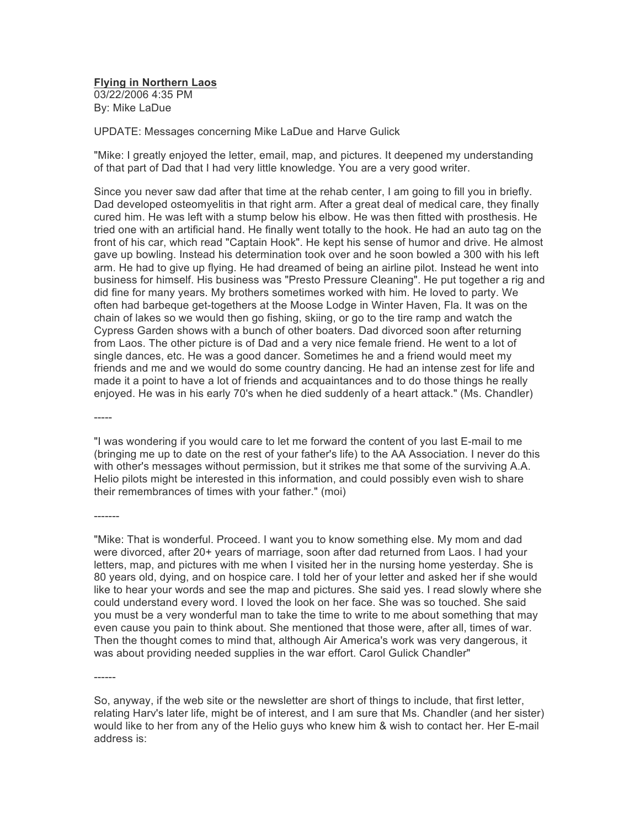**Flying in Northern Laos** 03/22/2006 4:35 PM By: Mike LaDue

UPDATE: Messages concerning Mike LaDue and Harve Gulick

"Mike: I greatly enjoyed the letter, email, map, and pictures. It deepened my understanding of that part of Dad that I had very little knowledge. You are a very good writer.

Since you never saw dad after that time at the rehab center, I am going to fill you in briefly. Dad developed osteomyelitis in that right arm. After a great deal of medical care, they finally cured him. He was left with a stump below his elbow. He was then fitted with prosthesis. He tried one with an artificial hand. He finally went totally to the hook. He had an auto tag on the front of his car, which read "Captain Hook". He kept his sense of humor and drive. He almost gave up bowling. Instead his determination took over and he soon bowled a 300 with his left arm. He had to give up flying. He had dreamed of being an airline pilot. Instead he went into business for himself. His business was "Presto Pressure Cleaning". He put together a rig and did fine for many years. My brothers sometimes worked with him. He loved to party. We often had barbeque get-togethers at the Moose Lodge in Winter Haven, Fla. It was on the chain of lakes so we would then go fishing, skiing, or go to the tire ramp and watch the Cypress Garden shows with a bunch of other boaters. Dad divorced soon after returning from Laos. The other picture is of Dad and a very nice female friend. He went to a lot of single dances, etc. He was a good dancer. Sometimes he and a friend would meet my friends and me and we would do some country dancing. He had an intense zest for life and made it a point to have a lot of friends and acquaintances and to do those things he really enjoyed. He was in his early 70's when he died suddenly of a heart attack." (Ms. Chandler)

-----

-------

"I was wondering if you would care to let me forward the content of you last E-mail to me (bringing me up to date on the rest of your father's life) to the AA Association. I never do this with other's messages without permission, but it strikes me that some of the surviving A.A. Helio pilots might be interested in this information, and could possibly even wish to share their remembrances of times with your father." (moi)

"Mike: That is wonderful. Proceed. I want you to know something else. My mom and dad were divorced, after 20+ years of marriage, soon after dad returned from Laos. I had your letters, map, and pictures with me when I visited her in the nursing home yesterday. She is 80 years old, dying, and on hospice care. I told her of your letter and asked her if she would like to hear your words and see the map and pictures. She said yes. I read slowly where she could understand every word. I loved the look on her face. She was so touched. She said you must be a very wonderful man to take the time to write to me about something that may even cause you pain to think about. She mentioned that those were, after all, times of war. Then the thought comes to mind that, although Air America's work was very dangerous, it was about providing needed supplies in the war effort. Carol Gulick Chandler"

So, anyway, if the web site or the newsletter are short of things to include, that first letter, relating Harv's later life, might be of interest, and I am sure that Ms. Chandler (and her sister) would like to her from any of the Helio guys who knew him & wish to contact her. Her E-mail address is: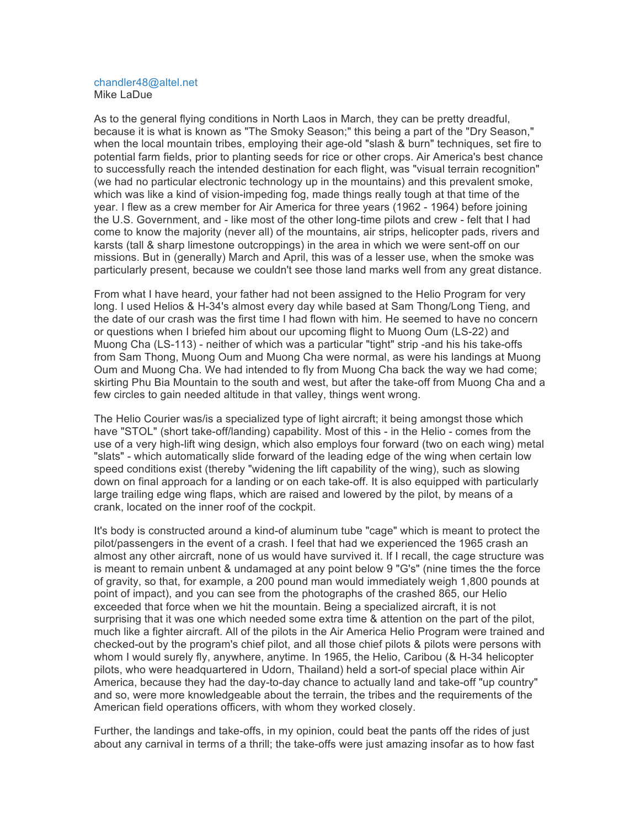## chandler48@altel.net Mike LaDue

As to the general flying conditions in North Laos in March, they can be pretty dreadful, because it is what is known as "The Smoky Season;" this being a part of the "Dry Season," when the local mountain tribes, employing their age-old "slash & burn" techniques, set fire to potential farm fields, prior to planting seeds for rice or other crops. Air America's best chance to successfully reach the intended destination for each flight, was "visual terrain recognition" (we had no particular electronic technology up in the mountains) and this prevalent smoke, which was like a kind of vision-impeding fog, made things really tough at that time of the year. I flew as a crew member for Air America for three years (1962 - 1964) before joining the U.S. Government, and - like most of the other long-time pilots and crew - felt that I had come to know the majority (never all) of the mountains, air strips, helicopter pads, rivers and karsts (tall & sharp limestone outcroppings) in the area in which we were sent-off on our missions. But in (generally) March and April, this was of a lesser use, when the smoke was particularly present, because we couldn't see those land marks well from any great distance.

From what I have heard, your father had not been assigned to the Helio Program for very long. I used Helios & H-34's almost every day while based at Sam Thong/Long Tieng, and the date of our crash was the first time I had flown with him. He seemed to have no concern or questions when I briefed him about our upcoming flight to Muong Oum (LS-22) and Muong Cha (LS-113) - neither of which was a particular "tight" strip -and his his take-offs from Sam Thong, Muong Oum and Muong Cha were normal, as were his landings at Muong Oum and Muong Cha. We had intended to fly from Muong Cha back the way we had come; skirting Phu Bia Mountain to the south and west, but after the take-off from Muong Cha and a few circles to gain needed altitude in that valley, things went wrong.

The Helio Courier was/is a specialized type of light aircraft; it being amongst those which have "STOL" (short take-off/landing) capability. Most of this - in the Helio - comes from the use of a very high-lift wing design, which also employs four forward (two on each wing) metal "slats" - which automatically slide forward of the leading edge of the wing when certain low speed conditions exist (thereby "widening the lift capability of the wing), such as slowing down on final approach for a landing or on each take-off. It is also equipped with particularly large trailing edge wing flaps, which are raised and lowered by the pilot, by means of a crank, located on the inner roof of the cockpit.

It's body is constructed around a kind-of aluminum tube "cage" which is meant to protect the pilot/passengers in the event of a crash. I feel that had we experienced the 1965 crash an almost any other aircraft, none of us would have survived it. If I recall, the cage structure was is meant to remain unbent & undamaged at any point below 9 "G's" (nine times the the force of gravity, so that, for example, a 200 pound man would immediately weigh 1,800 pounds at point of impact), and you can see from the photographs of the crashed 865, our Helio exceeded that force when we hit the mountain. Being a specialized aircraft, it is not surprising that it was one which needed some extra time & attention on the part of the pilot, much like a fighter aircraft. All of the pilots in the Air America Helio Program were trained and checked-out by the program's chief pilot, and all those chief pilots & pilots were persons with whom I would surely fly, anywhere, anytime. In 1965, the Helio, Caribou (& H-34 helicopter pilots, who were headquartered in Udorn, Thailand) held a sort-of special place within Air America, because they had the day-to-day chance to actually land and take-off "up country" and so, were more knowledgeable about the terrain, the tribes and the requirements of the American field operations officers, with whom they worked closely.

Further, the landings and take-offs, in my opinion, could beat the pants off the rides of just about any carnival in terms of a thrill; the take-offs were just amazing insofar as to how fast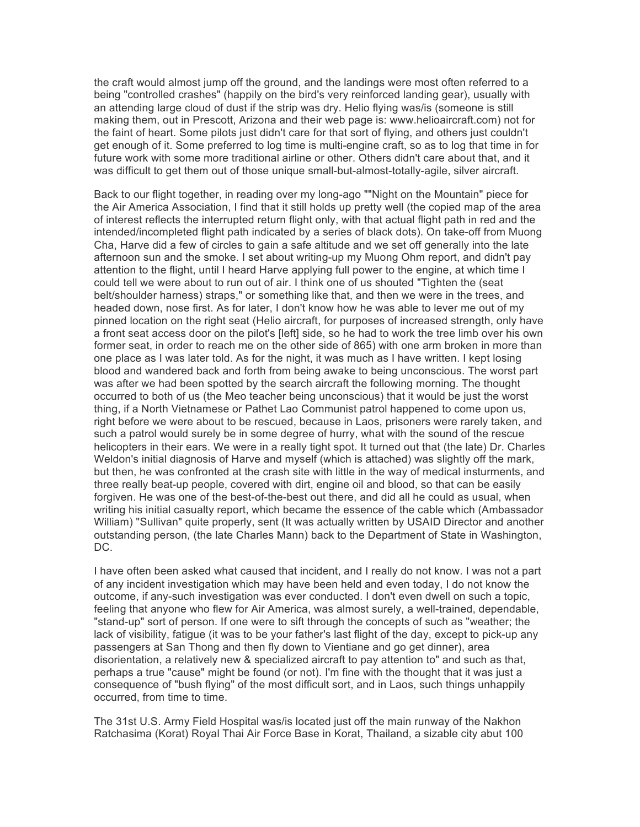the craft would almost jump off the ground, and the landings were most often referred to a being "controlled crashes" (happily on the bird's very reinforced landing gear), usually with an attending large cloud of dust if the strip was dry. Helio flying was/is (someone is still making them, out in Prescott, Arizona and their web page is: www.helioaircraft.com) not for the faint of heart. Some pilots just didn't care for that sort of flying, and others just couldn't get enough of it. Some preferred to log time is multi-engine craft, so as to log that time in for future work with some more traditional airline or other. Others didn't care about that, and it was difficult to get them out of those unique small-but-almost-totally-agile, silver aircraft.

Back to our flight together, in reading over my long-ago ""Night on the Mountain" piece for the Air America Association, I find that it still holds up pretty well (the copied map of the area of interest reflects the interrupted return flight only, with that actual flight path in red and the intended/incompleted flight path indicated by a series of black dots). On take-off from Muong Cha, Harve did a few of circles to gain a safe altitude and we set off generally into the late afternoon sun and the smoke. I set about writing-up my Muong Ohm report, and didn't pay attention to the flight, until I heard Harve applying full power to the engine, at which time I could tell we were about to run out of air. I think one of us shouted "Tighten the (seat belt/shoulder harness) straps," or something like that, and then we were in the trees, and headed down, nose first. As for later, I don't know how he was able to lever me out of my pinned location on the right seat (Helio aircraft, for purposes of increased strength, only have a front seat access door on the pilot's [left] side, so he had to work the tree limb over his own former seat, in order to reach me on the other side of 865) with one arm broken in more than one place as I was later told. As for the night, it was much as I have written. I kept losing blood and wandered back and forth from being awake to being unconscious. The worst part was after we had been spotted by the search aircraft the following morning. The thought occurred to both of us (the Meo teacher being unconscious) that it would be just the worst thing, if a North Vietnamese or Pathet Lao Communist patrol happened to come upon us, right before we were about to be rescued, because in Laos, prisoners were rarely taken, and such a patrol would surely be in some degree of hurry, what with the sound of the rescue helicopters in their ears. We were in a really tight spot. It turned out that (the late) Dr. Charles Weldon's initial diagnosis of Harve and myself (which is attached) was slightly off the mark, but then, he was confronted at the crash site with little in the way of medical insturments, and three really beat-up people, covered with dirt, engine oil and blood, so that can be easily forgiven. He was one of the best-of-the-best out there, and did all he could as usual, when writing his initial casualty report, which became the essence of the cable which (Ambassador William) "Sullivan" quite properly, sent (It was actually written by USAID Director and another outstanding person, (the late Charles Mann) back to the Department of State in Washington, DC.

I have often been asked what caused that incident, and I really do not know. I was not a part of any incident investigation which may have been held and even today, I do not know the outcome, if any-such investigation was ever conducted. I don't even dwell on such a topic, feeling that anyone who flew for Air America, was almost surely, a well-trained, dependable, "stand-up" sort of person. If one were to sift through the concepts of such as "weather; the lack of visibility, fatigue (it was to be your father's last flight of the day, except to pick-up any passengers at San Thong and then fly down to Vientiane and go get dinner), area disorientation, a relatively new & specialized aircraft to pay attention to" and such as that, perhaps a true "cause" might be found (or not). I'm fine with the thought that it was just a consequence of "bush flying" of the most difficult sort, and in Laos, such things unhappily occurred, from time to time.

The 31st U.S. Army Field Hospital was/is located just off the main runway of the Nakhon Ratchasima (Korat) Royal Thai Air Force Base in Korat, Thailand, a sizable city abut 100